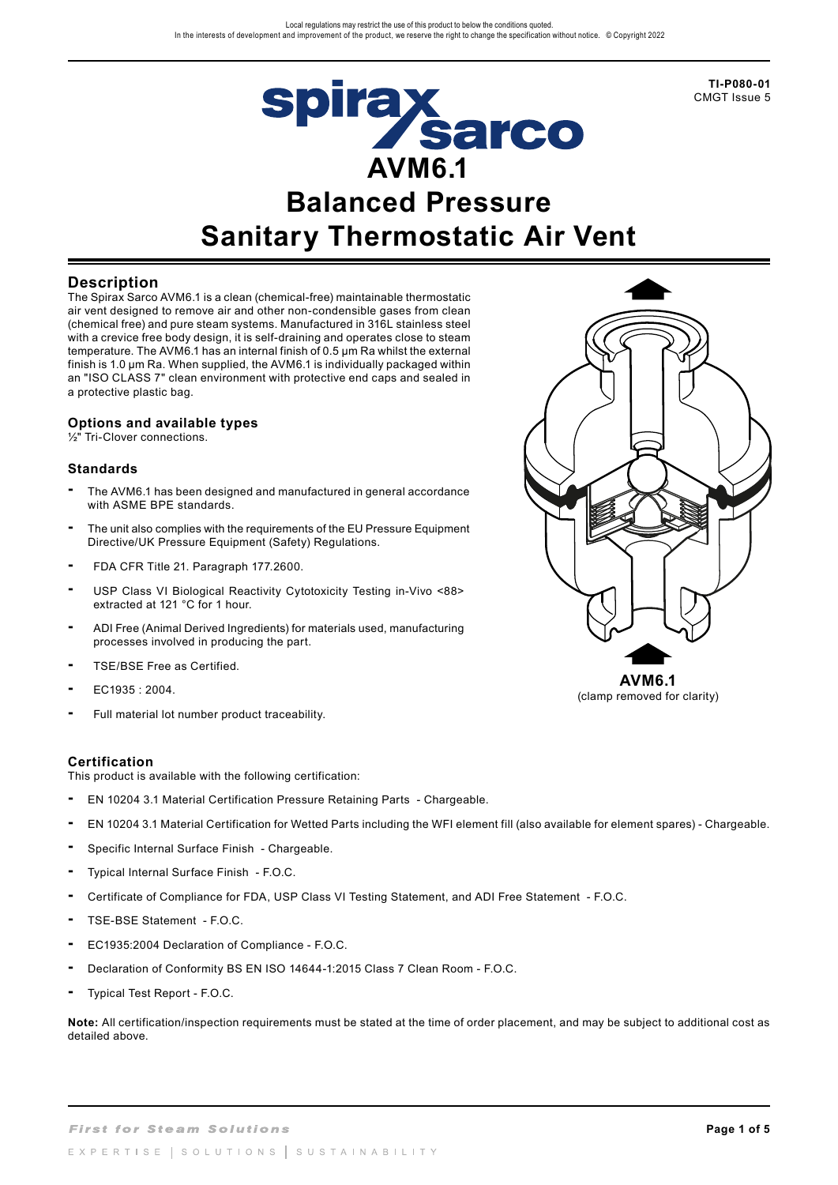

# **Spirax<br>AVM6.1 Balanced Pressure Sanitary Thermostatic Air Vent**

#### **Description**

The Spirax Sarco AVM6.1 is a clean (chemical-free) maintainable thermostatic air vent designed to remove air and other non-condensible gases from clean (chemical free) and pure steam systems. Manufactured in 316L stainless steel with a crevice free body design, it is self-draining and operates close to steam temperature. The AVM6.1 has an internal finish of 0.5 µm Ra whilst the external finish is 1.0 µm Ra. When supplied, the AVM6.1 is individually packaged within an "ISO CLASS 7" clean environment with protective end caps and sealed in a protective plastic bag.

# **Options and available types**

½" Tri-Clover connections.

#### **Standards**

- **-** The AVM6.1 has been designed and manufactured in general accordance with ASME BPE standards.
- **-** The unit also complies with the requirements of the EU Pressure Equipment Directive/UK Pressure Equipment (Safety) Regulations.
- **-** FDA CFR Title 21. Paragraph 177.2600.
- **-** USP Class VI Biological Reactivity Cytotoxicity Testing in-Vivo <88> extracted at 121 °C for 1 hour.
- **-** ADI Free (Animal Derived Ingredients) for materials used, manufacturing processes involved in producing the part.
- **-** TSE/BSE Free as Certified.
- **-** EC1935 : 2004.
- **-** Full material lot number product traceability.

#### **Certification**

This product is available with the following certification:

- EN 10204 3.1 Material Certification Pressure Retaining Parts Chargeable.
- EN 10204 3.1 Material Certification for Wetted Parts including the WFI element fill (also available for element spares) Chargeable.
- Specific Internal Surface Finish Chargeable.
- Typical Internal Surface Finish F.O.C.
- Certificate of Compliance for FDA, USP Class VI Testing Statement, and ADI Free Statement F.O.C.
- TSE-BSE Statement F.O.C.
- EC1935:2004 Declaration of Compliance F.O.C.
- Declaration of Conformity BS EN ISO 14644-1:2015 Class 7 Clean Room F.O.C.
- Typical Test Report F.O.C.

**Note:** All certification/inspection requirements must be stated at the time of order placement, and may be subject to additional cost as detailed above.



**AVM6.1** (clamp removed for clarity)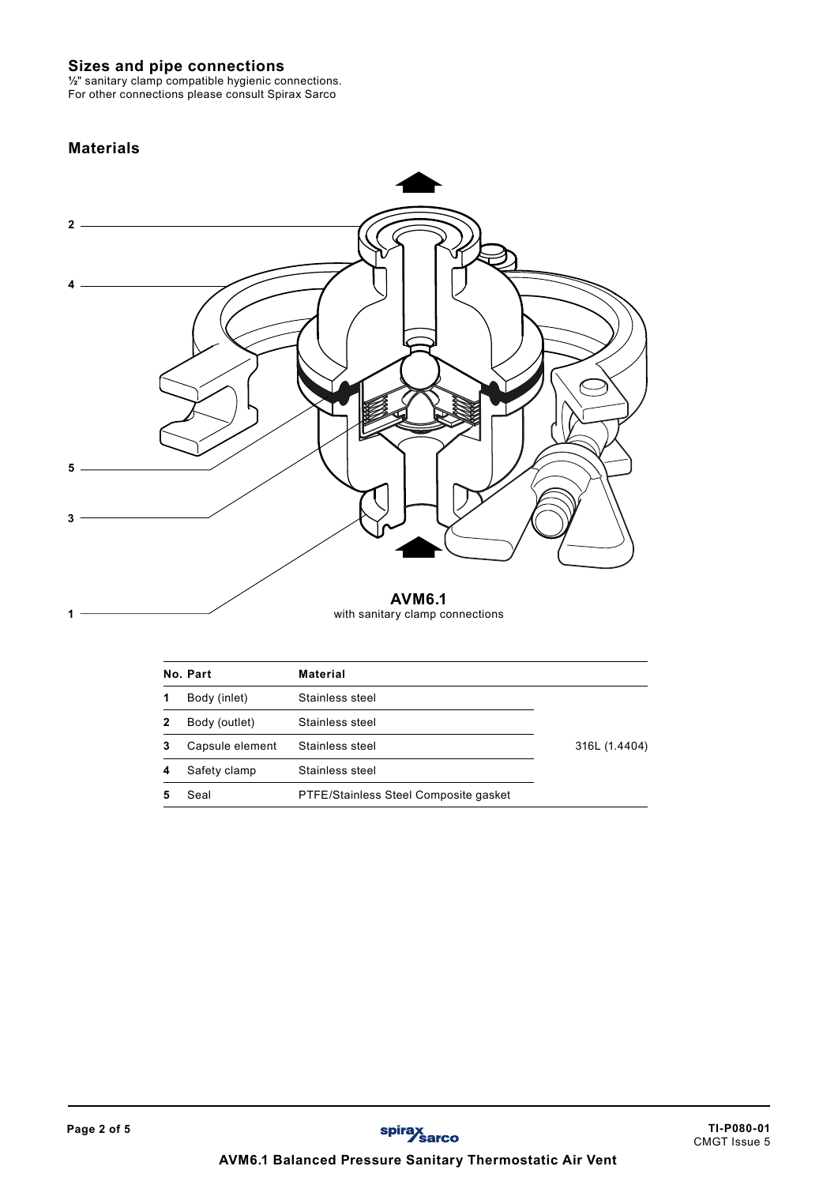## **Sizes and pipe connections**

**½**" sanitary clamp compatible hygienic connections. For other connections please consult Spirax Sarco

# **Materials**

**1**



with sanitary clamp connections

|   | No. Part        | <b>Material</b>                       |               |
|---|-----------------|---------------------------------------|---------------|
|   | Body (inlet)    | Stainless steel                       |               |
| 2 | Body (outlet)   | Stainless steel                       |               |
| 3 | Capsule element | Stainless steel                       | 316L (1.4404) |
| 4 | Safety clamp    | Stainless steel                       |               |
|   | Seal            | PTFE/Stainless Steel Composite gasket |               |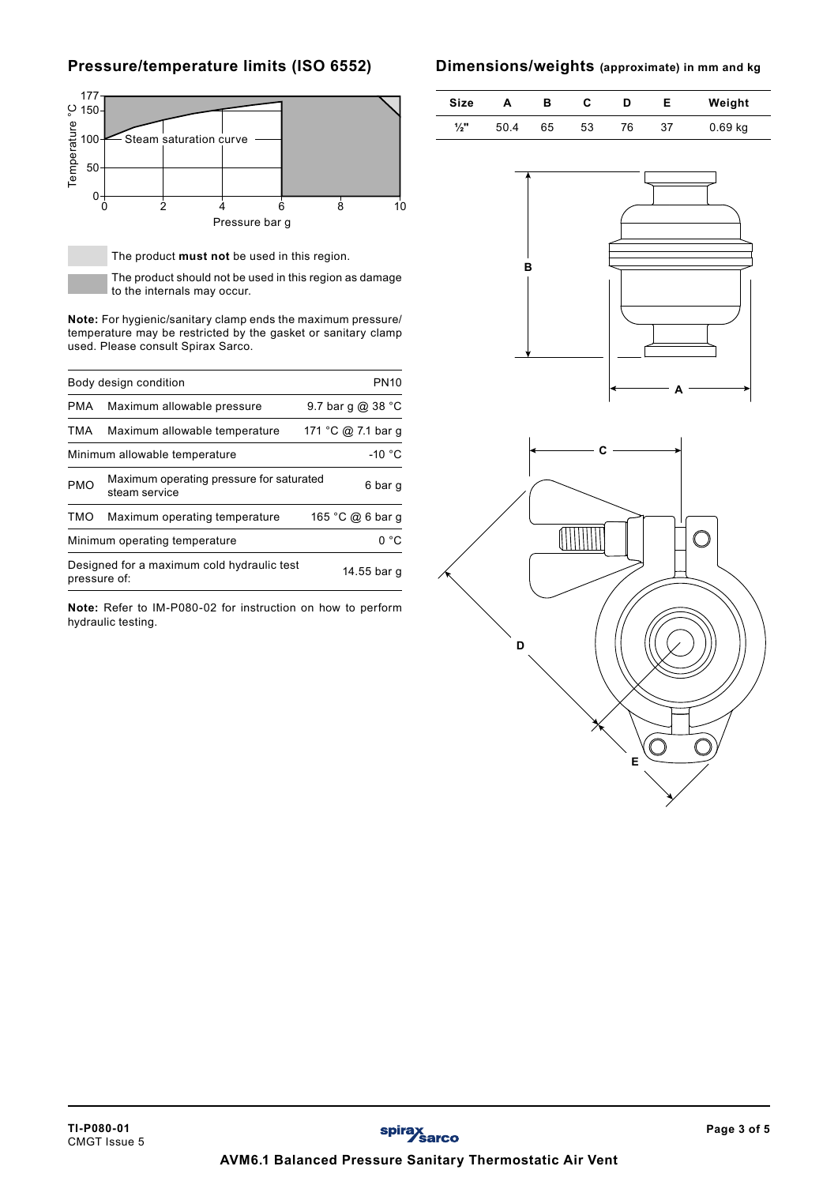# **Pressure/temperature limits (ISO 6552)**



| ပ္ 150-                   |                                                                                                                                                                            |                |                    |             |
|---------------------------|----------------------------------------------------------------------------------------------------------------------------------------------------------------------------|----------------|--------------------|-------------|
| <b>Temperature</b><br>100 | Steam saturation curve                                                                                                                                                     |                |                    |             |
| 50                        |                                                                                                                                                                            |                |                    |             |
| 0-                        |                                                                                                                                                                            |                |                    |             |
|                           | $\dot{2}$<br>0                                                                                                                                                             | 6<br>Δ         | 8                  | 10          |
|                           |                                                                                                                                                                            | Pressure bar g |                    |             |
|                           | The product must not be used in this region.                                                                                                                               |                |                    |             |
|                           | The product should not be used in this region as damage                                                                                                                    |                |                    |             |
|                           | to the internals may occur.                                                                                                                                                |                |                    |             |
|                           | <b>Note:</b> For hygienic/sanitary clamp ends the maximum pressure/<br>temperature may be restricted by the gasket or sanitary clamp<br>used. Please consult Spirax Sarco. |                |                    |             |
|                           | Body design condition                                                                                                                                                      |                |                    | <b>PN10</b> |
| <b>PMA</b>                | Maximum allowable pressure                                                                                                                                                 |                | 9.7 bar g @ 38 °C  |             |
| <b>TMA</b>                | Maximum allowable temperature                                                                                                                                              |                | 171 °C @ 7.1 bar g |             |
|                           | Minimum allowable temperature                                                                                                                                              |                |                    | $-10 °C$    |
| <b>PMO</b>                | Maximum operating pressure for saturated<br>steam service                                                                                                                  |                |                    | 6 bar g     |
| TMO                       | Maximum operating temperature                                                                                                                                              |                | 165 °C @ 6 bar g   |             |
|                           | Minimum operating temperature                                                                                                                                              |                |                    | 0 °C        |
| pressure of:              | Designed for a maximum cold hydraulic test                                                                                                                                 |                |                    | 14.55 bar g |
|                           | Note: Refer to IM-P080-02 for instruction on how to perform<br>hydraulic testing.                                                                                          |                |                    |             |

## **Dimensions/weights (approximate) in mm and kg**

 $\overline{a}$ 

| Size            | А   | в  | С  | D  |    | Weight    |
|-----------------|-----|----|----|----|----|-----------|
| $\frac{1}{2}$ " | 504 | 65 | 53 | 76 | 37 | $0.69$ kg |



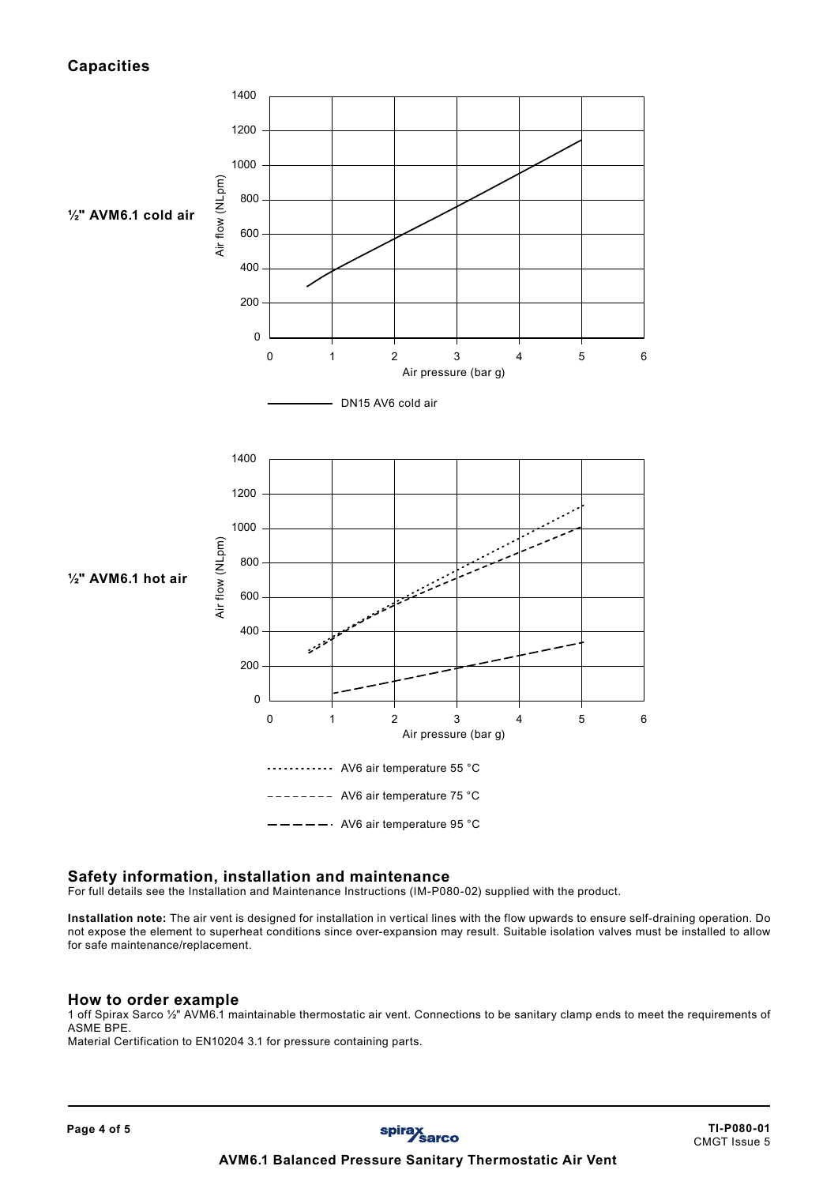# **Capacities**



#### **Safety information, installation and maintenance**

For full details see the Installation and Maintenance Instructions (IM-P080-02) supplied with the product.

**Installation note:** The air vent is designed for installation in vertical lines with the flow upwards to ensure self-draining operation. Do not expose the element to superheat conditions since over-expansion may result. Suitable isolation valves must be installed to allow for safe maintenance/replacement.

#### **How to order example**

1 off Spirax Sarco ½" AVM6.1 maintainable thermostatic air vent. Connections to be sanitary clamp ends to meet the requirements of ASME BPE.

Material Certification to EN10204 3.1 for pressure containing parts.